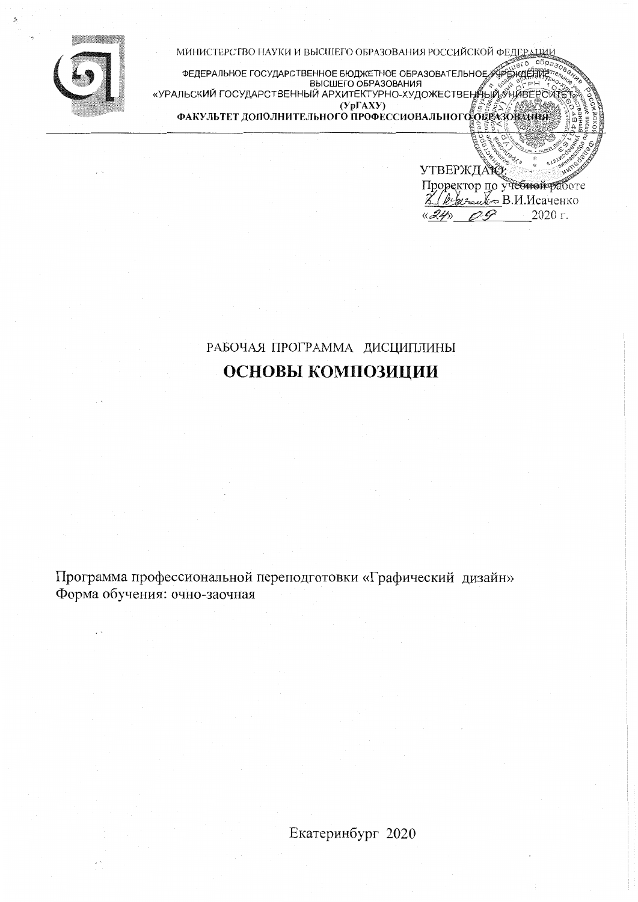

МИНИСТЕРСТВО НАУКИ И ВЫСШЕГО ОБРАЗОВАНИЯ РОССИЙСКОЙ ФЕДЕР

 $er<sub>o</sub>$ (УрГАХУ)<br>ФАКУЛЬТЕТ ДОПОЛНИТЕЛЬНОГО ПРОФЕССИОНАЛЬНОГО ОБРАЗОВАНИЯ

> УТВЕРЖДАЮ Проректор по учебной работе 2 (Reprendro B.M. Mcayerko 2020 г.  $\langle\langle 24\rangle\rangle$  $OQ$

 $05i$ 

# РАБОЧАЯ ПРОГРАММА ДИСЦИПЛИНЫ ОСНОВЫ КОМПОЗИЦИИ

Программа профессиональной переподготовки «Графический дизайн» Форма обучения: очно-заочная

Екатеринбург 2020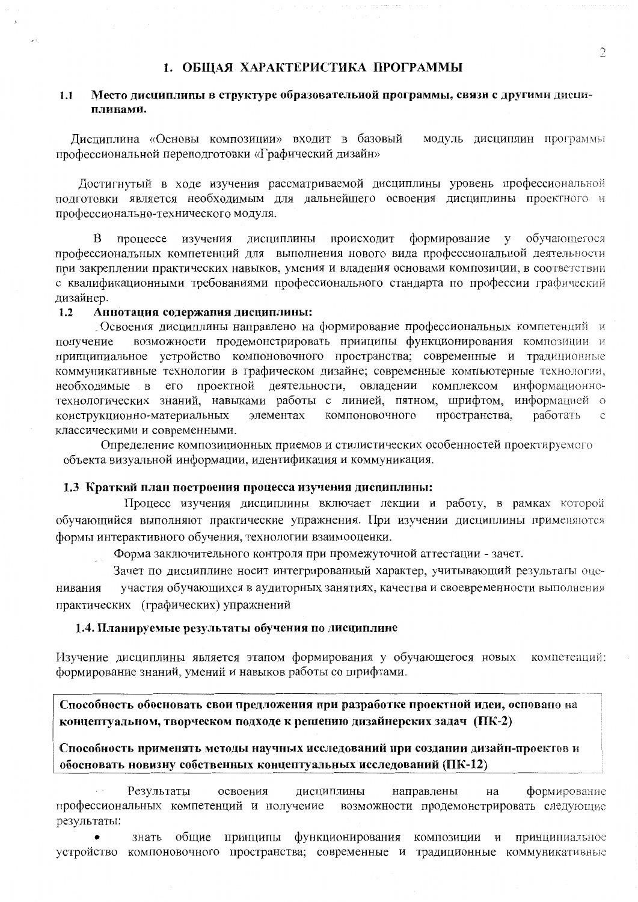# 1. ОБШАЯ ХАРАКТЕРИСТИКА ПРОГРАММЫ

#### Место дисциплины в структуре образовательной программы, связи с другими дисци- $1.1$ плинами.

Лиспиплина «Основы композиции» входит в базовый модуль дисциплин программы профессиональной переподготовки «Графический дизайн»

Лостигнутый в ходе изучения рассматриваемой дисциплины уровень профессиональной полготовки является необходимым для дальнейшего освоения дисциплины проектного и профессионально-технического модуля.

происходит формирование у обучающегося процессе изучения дисциплины B профессиональных компетенций для выполнения нового вида профессиональной деятельности при закреплении практических навыков, умения и владения основами композиции, в соответствии с квалификационными требованиями профессионального стандарта по профессии графический дизайнер.

#### Аннотация содержания дисциплины:  $1.2$

Освоения дисциплины направлено на формирование профессиональных компетенций и возможности продемонстрировать принципы функционирования композиции и получение принципиальное устройство компоновочного пространства; современные и традиционные коммуникативные технологии в графическом дизайне; современные компьютерные технологии, необходимые в его проектной деятельности, овладении комплексом информационнотехнологических знаний, навыками работы с линией, пятном, шрифтом, информацией о элементах компоновочного пространства, работать конструкционно-материальных  $\mathcal{C}$ классическими и современными.

Определение композиционных приемов и стилистических особенностей проектируемого объекта визуальной информации, идентификация и коммуникация.

# 1.3 Краткий план построения процесса изучения дисциплины:

Процесс изучения дисциплины включает лекции и работу, в рамках которой обучающийся выполняют практические упражнения. При изучении дисциплины применяются формы интерактивного обучения, технологии взаимооценки.

Форма заключительного контроля при промежуточной аттестации - зачет.

Зачет по дисциплине носит интегрированный характер, учитывающий результаты оцеучастия обучающихся в аудиторных занятиях, качества и своевременности выполнения нивания практических (графических) упражнений

#### 1.4. Планируемые результаты обучения по дисциплине

Изучение дисциплины является этапом формирования у обучающегося новых компетенций: формирование знаний, умений и навыков работы со шрифтами.

Способность обосновать свои предложения при разработке проектной идеи, основано на концептуальном, творческом подходе к решению дизайнерских задач (ПК-2)

Способность применять методы научных исследований при создании дизайн-проектов и обосновать новизну собственных концептуальных исследований (ПК-12)

Результаты освоения дисциплины направлены на формирование профессиональных компетенций и получение возможности продемонстрировать следующие результаты:

общие принципы функционирования композиции и принципиальное знать устройство компоновочного пространства; современные и традиционные коммуникативные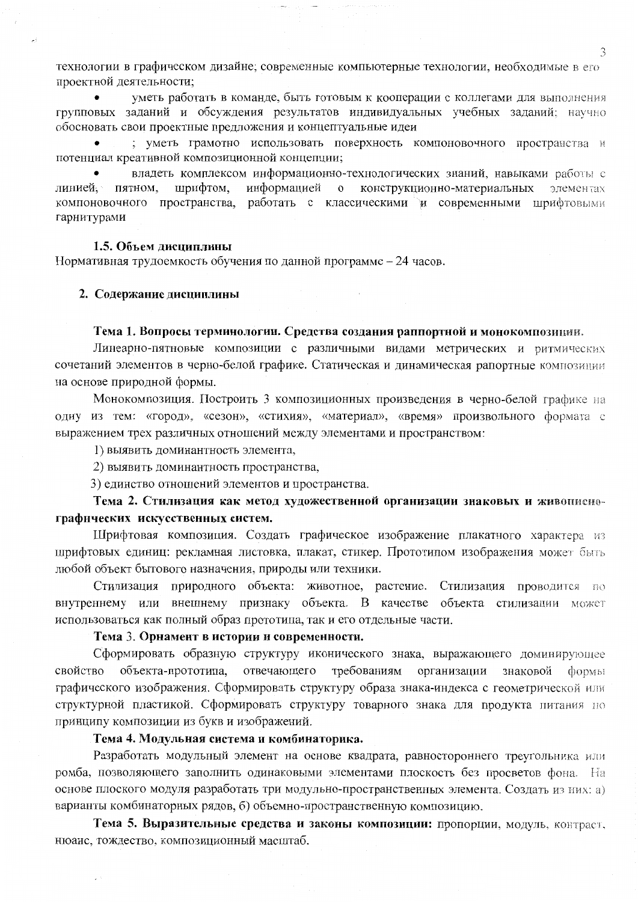технологии в графическом дизайне; современные компьютерные технологии, необходимые в его проектной деятельности:

уметь работать в команде, быть готовым к кооперации с коллегами для выполнения групповых заданий и обсуждения результатов индивидуальных учебных заданий; научно обосновать свои проектные предложения и концептуальные идеи

; уметь грамотно использовать поверхность компоновочного пространства и потенциал креативной композиционной концепции;

владеть комплексом информационно-технологических знаний, навыками работы с шрифтом, информацией о конструкционно-материальных элементах линией. пятном. компоновочного пространства, работать с классическими и современными шрифтовыми гарнитурами

#### 1.5. Объем лиспиплины

Нормативная трудоемкость обучения по данной программе - 24 часов.

#### 2. Содержание дисциплины

#### Тема 1. Вопросы терминологии. Средства создания раппортной и монокомпозиции.

Линеарно-пятновые композиции с различными видами метрических и ритмических сочетаний элементов в черно-белой графике. Статическая и динамическая рапортные композиции на основе природной формы.

Монокомпозиция. Построить 3 композиционных произведения в черно-белой графике на одну из тем: «город», «сезон», «стихия», «материал», «время» произвольного формата с выражением трех различных отношений между элементами и пространством:

1) выявить доминантность элемента,

2) выявить доминантность пространства,

3) единство отношений элементов и пространства.

# Тема 2. Стилизация как метод художественной организации знаковых и живописнографических искусственных систем.

Шрифтовая композиция. Создать графическое изображение плакатного характера из шрифтовых единиц: рекламная листовка, плакат, стикер. Прототипом изображения может быть любой объект бытового назначения, природы или техники.

Стилизация природного объекта: животное, растение. Стилизация проводится по внутреннему или внешнему признаку объекта. В качестве объекта стилизации может использоваться как полный образ прототипа, так и его отдельные части.

# Тема 3. Орнамент в истории и современности.

Сформировать образную структуру иконического знака, выражающего доминирующее свойство объекта-прототипа, отвечающего требованиям организации знаковой формы графического изображения. Сформировать структуру образа знака-индекса с геометрической или структурной пластикой. Сформировать структуру товарного знака для продукта питания но принципу композиции из букв и изображений.

#### Тема 4. Модульная система и комбинаторика.

Разработать модульный элемент на основе квадрата, равностороннего треугольника или ромба, позволяющего заполнить одинаковыми элементами плоскость без просветов фона. На основе плоского модуля разработать три модульно-пространственных элемента. Создать из них: а) варианты комбинаторных рядов, б) объемно-пространственную композицию.

Тема 5. Выразительные средства и законы композиции: пропорции, модуль, контраст, нюанс, тождество, композиционный масштаб.

3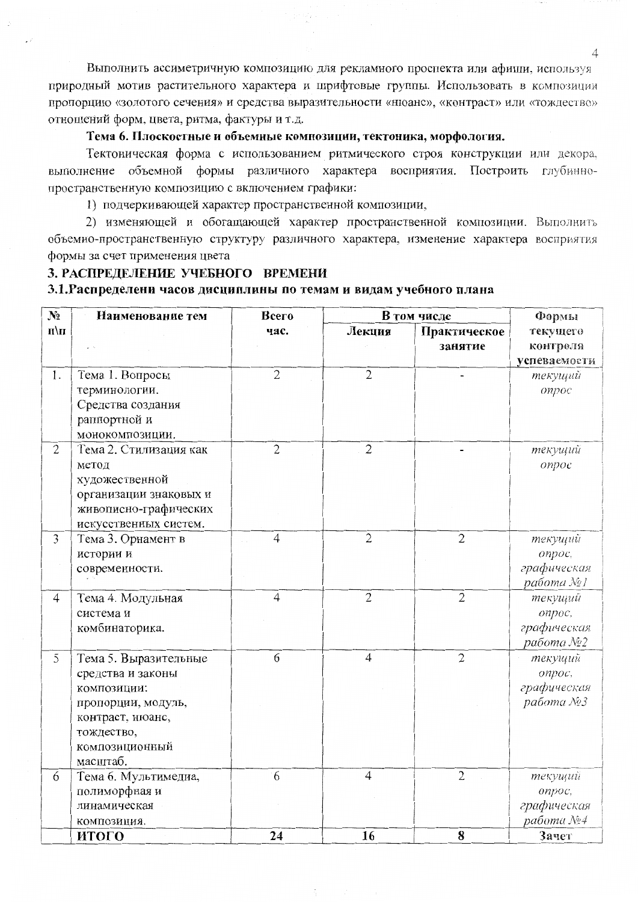Выполнить ассиметричную композицию для рекламного проспекта или афиши, используя природный мотив растительного характера и шрифтовые группы. Использовать в композиции пропорцию «золотого сечения» и средства выразительности «нюанс», «контраст» или «тождество» отношений форм, цвета, ритма, фактуры и т.д.

# Тема 6. Плоскостные и объемные композиции, тектоника, морфология.

Тектоническая форма с использованием ритмического строя конструкции или декора, выполнение объемной формы различного характера восприятия. Построить глубиннопространственную композицию с включением графики:

1) подчеркивающей характер пространственной композиции,

2) изменяющей и обогащающей характер пространственной композиции. Выполнить объемно-пространственную структуру различного характера, изменение характера восприятия формы за счет применения цвета

### 3. РАСПРЕДЕЛЕНИЕ УЧЕБНОГО ВРЕМЕНИ

# 3.1. Распределени часов дисциплины по темам и видам учебного плана

| $N_2$                   | Наименование тем       | Всего          | В том числе    |                | Формы        |
|-------------------------|------------------------|----------------|----------------|----------------|--------------|
| $\mathbf{u}/\mathbf{n}$ |                        | час.           | Лекция         | Практическое   | текущего     |
|                         |                        |                |                | занятие        | контроля     |
|                         |                        |                |                |                | успеваемости |
| 1.                      | Тема 1. Вопросы        | $\overline{2}$ | $\overline{2}$ |                | текущий      |
|                         | терминологии.          |                |                |                | onpoc        |
|                         | Средства создания      |                |                |                |              |
|                         | раппортной и           |                |                |                |              |
|                         | монокомпозиции.        |                |                |                |              |
| $\overline{2}$          | Тема 2. Стилизация как | $\overline{2}$ | $\overline{2}$ |                | текущий      |
|                         | метод                  |                |                |                | опрос        |
|                         | художественной         |                |                |                |              |
|                         | организации знаковых и |                |                |                |              |
|                         | живописно-графических  |                |                |                |              |
|                         | искусственных систем.  |                |                |                |              |
| $\mathfrak{Z}$          | Тема 3. Орнамент в     | $\overline{4}$ | $\overline{2}$ | $\overline{2}$ | текущий      |
|                         | истории и              |                |                |                | onpoc,       |
|                         | современности.         |                |                |                | графическая  |
|                         |                        |                |                |                | работа №1    |
| $\overline{4}$          | Тема 4. Модульная      | $\overline{4}$ | $\overline{2}$ | $\overline{2}$ | текущий      |
|                         | система и              |                |                |                | onpoc,       |
|                         | комбинаторика.         |                |                |                | графическая  |
|                         |                        |                |                |                | работа №2    |
| 5                       | Тема 5. Выразительные  | 6              | $\overline{4}$ | $\mathfrak{2}$ | текущий      |
|                         | средства и законы      |                |                |                | onpoc,       |
|                         | композиции:            |                |                |                | графическая  |
|                         | пропорции, модуль,     |                |                |                | работа №3    |
|                         | контраст, нюанс,       |                |                |                |              |
|                         | тождество,             |                |                |                |              |
|                         | композиционный         |                |                |                |              |
|                         | масштаб.               |                |                |                |              |
| 6                       | Тема 6. Мультимедиа,   | 6              | $\overline{4}$ | $\overline{2}$ | текущий      |
|                         | полиморфная и          |                |                |                | onpoc,       |
|                         | линамическая           |                |                |                | графическая  |
|                         | композиция.            |                |                |                | работа №4    |
|                         | итого                  | 24             | 16             | 8              | Зачет        |

 $\mathbb{S}^1$ 

 $\overline{4}$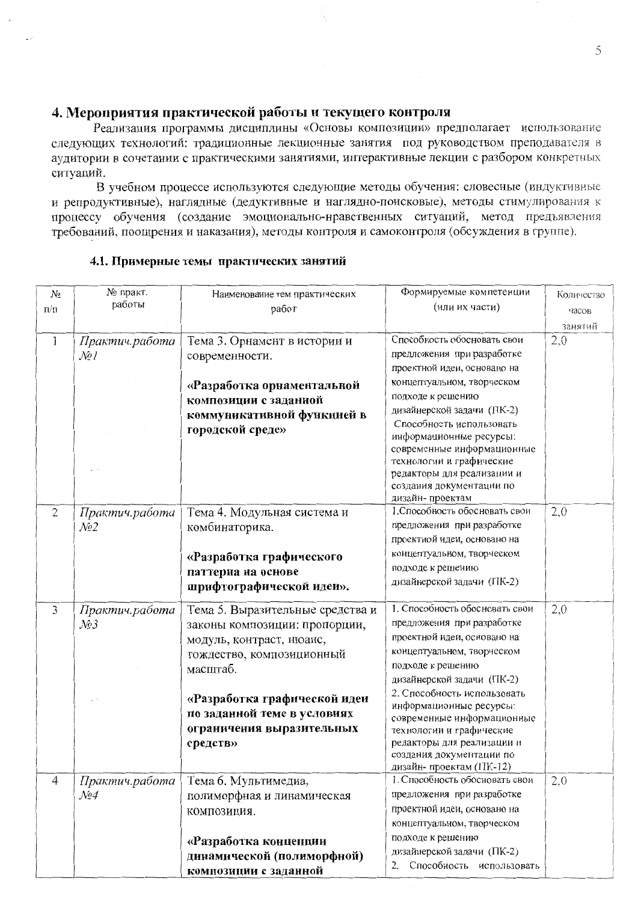# 4. Мероприятия практической работы и текущего контроля

Реализация программы дисциплины «Основы композиции» предполагает использование следующих технологий: традиционные лекционные занятия под руководством преподавателя в аудитории в сочетании с практическими занятиями, интерактивные лекции с разбором конкретных ситуаций.

В учебном процессе используются следующие методы обучения: словесные (индуктивные и репродуктивные), наглядные (дедуктивные и наглядно-поисковые), методы стимулирования к процессу обучения (создание эмоционально-нравственных ситуаций, метод предъявления требований, поощрения и наказания), методы контроля и самоконтроля (обсуждения в группе).

| $N_2$          | № практ.                               | Наименование тем практических    | Формируемые компетенции                             | Количество |
|----------------|----------------------------------------|----------------------------------|-----------------------------------------------------|------------|
| $\pi/\pi$      | работы                                 | работ                            | (или их части)                                      | часов      |
|                |                                        |                                  |                                                     | занятий    |
| 1              | Практич.работа                         | Тема 3. Орнамент в истории и     | Способность обосновать свои                         | 2,0        |
|                | $\mathcal{N}\!\!\mathit{o}\,l$         | современности.                   | предложения при разработке                          |            |
|                |                                        |                                  | проектной идеи, основано на                         |            |
|                |                                        |                                  | концептуальном, творческом                          |            |
|                |                                        | «Разработка орнаментальной       | подходе к решению                                   |            |
|                |                                        | композиции с заданной            | дизайнерской задачи (ПК-2)                          |            |
|                |                                        | коммуникативной функцией в       | Способность использовать                            |            |
|                |                                        | городской среде»                 | информационные ресурсы:                             |            |
|                |                                        |                                  | современные информационные                          |            |
|                |                                        |                                  | технологии и графические                            |            |
|                |                                        |                                  | редакторы для реализации и                          |            |
|                |                                        |                                  | создания документации по                            |            |
|                |                                        |                                  | дизайн-проектам                                     |            |
| $\mathfrak{2}$ | Практич.работа                         | Тема 4. Модульная система и      | 1. Способность обосновать свои                      | 2,0        |
|                | $\mathcal{N}^{\mathcal{Q}}$            | комбинаторика.                   | предложения при разработке                          |            |
|                |                                        |                                  | проектной идеи, основано на                         |            |
|                |                                        | «Разработка графического         | концептуальном, творческом                          |            |
|                |                                        | паттерна на основе               | подходе к решению                                   |            |
|                |                                        | шрифтографической идеи».         | дизайнерской задачи (ПК-2)                          |            |
| 3              | Практич.работа                         | Тема 5. Выразительные средства и | 1. Способность обосновать свои                      | 2,0        |
|                | $\mathcal{N}$ 23                       | законы композиции: пропорции,    | предложения при разработке                          |            |
|                |                                        | модуль, контраст, нюанс,         | проектной идеи, основано на                         |            |
|                |                                        | тождество, композиционный        | концептуальном, творческом                          |            |
|                |                                        | масштаб.                         | подходе к решению                                   |            |
|                |                                        |                                  | дизайнерской задачи (ПК-2)                          |            |
|                |                                        |                                  | 2. Способность использовать                         |            |
|                |                                        | «Разработка графической идеи     | информационные ресурсы:                             |            |
|                |                                        | по заданной теме в условиях      | современные информационные                          |            |
|                |                                        | ограничения выразительных        | технологии и графические                            |            |
|                |                                        | средств»                         | редакторы для реализации и                          |            |
|                |                                        |                                  | создания документации по<br>дизайн-проектам (ПК-12) |            |
| 4              | Практич.работа                         | Тема 6. Мультимедиа,             | 1. Способность обосновать свои                      | 2,0        |
|                | $\mathcal{N}\!\!\mathit{o}\mathcal{A}$ | полиморфная и линамическая       | предложения при разработке                          |            |
|                |                                        |                                  | проектной идеи, основано на                         |            |
|                |                                        | КОМПОЗИЦИЯ.                      | концептуальном, творческом                          |            |
|                |                                        |                                  | подходе к решению                                   |            |
|                |                                        | «Разработка концепции            | дизайнерской задачи (ПК-2)                          |            |
|                |                                        | динамической (полиморфной)       | 2. Способность использовать                         |            |
|                |                                        | композиции с заданной            |                                                     |            |

# 4.1. Примерные темы практических занятий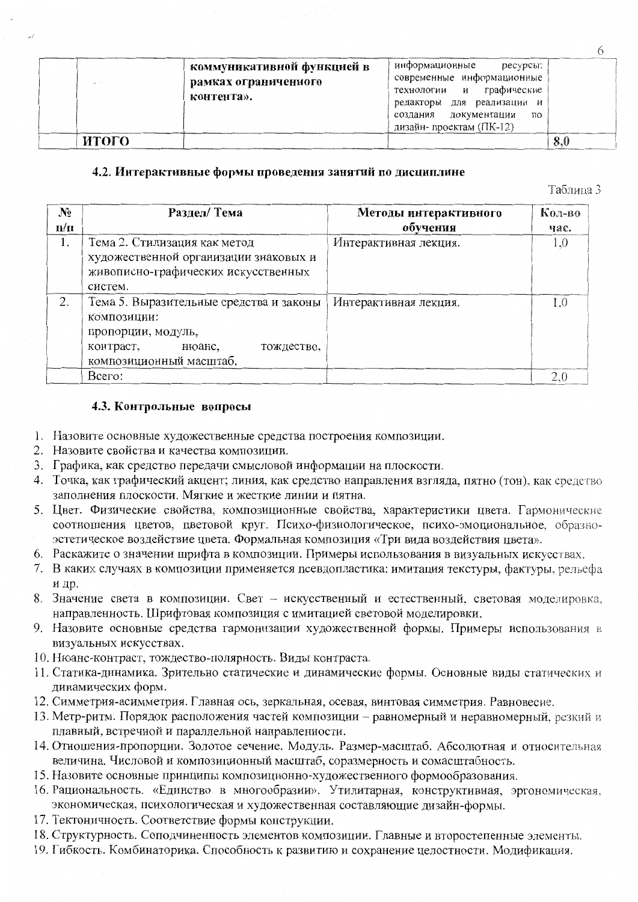| - 1   | коммуникативной функцией в<br>рамках ограниченного<br>контента». | информационные<br>ресурсы:<br>современные информационные<br>графические<br>технологии и<br>для реализации и<br>редакторы<br>создания документации<br>ПO<br>дизайн-проектам (ПК-12) |     |
|-------|------------------------------------------------------------------|------------------------------------------------------------------------------------------------------------------------------------------------------------------------------------|-----|
| итого |                                                                  |                                                                                                                                                                                    | 8,0 |

# 4.2. Интерактивные формы проведения занятий по дисциплине

Таблина 3

| $N_2$     | Раздел/Тема                             | Методы интерактивного | Кол-во |
|-----------|-----------------------------------------|-----------------------|--------|
| $\Pi/\Pi$ |                                         | обучения              | час.   |
| 1.        | Тема 2. Стилизация как метод            | Интерактивная лекция. | 1.0    |
|           | художественной организации знаковых и   |                       |        |
|           | живописно-графических искусственных     |                       |        |
|           | систем.                                 |                       |        |
| 2.        | Тема 5. Выразительные средства и законы | Интерактивная лекция. | 1.0    |
|           | композиции:                             |                       |        |
|           | пропорции, модуль,                      |                       |        |
|           | контраст,<br>нюанс,<br>тождество.       |                       |        |
|           | композиционный масштаб.                 |                       |        |
|           | Bcero:                                  |                       | 2,0    |

### 4.3. Контрольные вопросы

- 1. Назовите основные художественные средства построения композиции.
- 2. Назовите свойства и качества композиции.
- 3. Графика, как средство передачи смысловой информации на плоскости.
- 4. Точка, как графический акцент; линия, как средство направления взгляда, пятно (тон), как средство заполнения плоскости. Мягкие и жесткие линии и пятна.
- 5. Цвет. Физические свойства, композиционные свойства, характеристики цвета. Гармонические соотношения цветов, цветовой круг. Психо-физиологическое, психо-эмоциональное, образноэстетическое воздействие цвета. Формальная композиция «Три вида воздействия цвета».
- 6. Раскажите о значении шрифта в композиции. Примеры использования в визуальных искусствах.
- 7. В каких случаях в композиции применяется псевдопластика: имитация текстуры, фактуры, рельефа и др.
- 8. Значение света в композиции. Свет искусственный и естественный, световая моделировка, направленность. Шрифтовая композиция с имитацией световой моделировки.
- 9. Назовите основные средства гармонизации художественной формы. Примеры использования в визуальных искусствах.
- 10. Нюанс-контраст, тождество-полярность. Виды контраста.
- 11. Статика-динамика. Зрительно статические и динамические формы. Основные виды статических и динамических форм.
- 12. Симметрия-асимметрия. Главная ось, зеркальная, осевая, винтовая симметрия. Равновесие.
- 13. Метр-ритм. Порядок расположения частей композиции равномерный и неравномерный, резкий и плавный, встречной и параллельной направленности.
- 14. Отношения-пропорции. Золотое сечение. Модуль. Размер-масштаб. Абсолютная и относительная величина. Числовой и композиционный масштаб, соразмерность и сомасштабность.
- 15. Назовите основные принципы композиционно-художественного формообразования.
- 16. Рациональность. «Единство в многообразии». Утилитарная, конструктивная, эргономическая, экономическая, психологическая и художественная составляющие дизайн-формы.
- 17. Тектоничность. Соответствие формы конструкции.
- 18. Структурность. Соподчиненность элементов композиции. Главные и второстепенные элементы.
- 19. Гибкость. Комбинаторика. Способность к развитию и сохранение целостности. Модификация.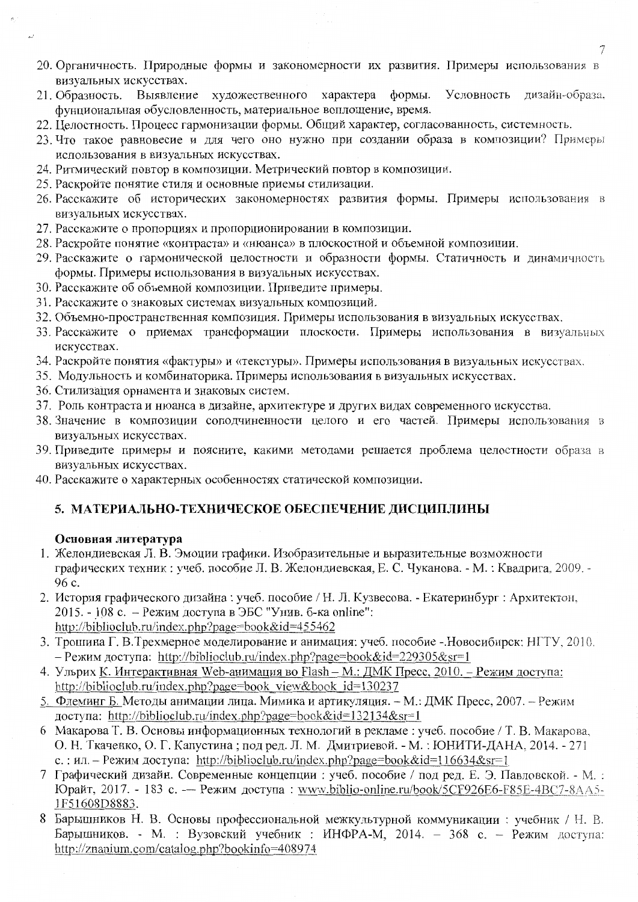- 20. Органичность. Природные формы и закономерности их развития. Примеры использования в визуальных искусствах.
- 21. Образность. Выявление художественного характера формы. Условность дизайн-образа. фунциональная обусловленность, материальное воплощение, время.
- 22. Целостность. Процесс гармонизации формы. Общий характер, согласованность, системность.
- 23. Что такое равновесие и для чего оно нужно при создании образа в композиции? Примеры использования в визуальных искусствах.
- 24. Ритмический повтор в композиции. Метрический повтор в композиции.
- 25. Раскройте понятие стиля и основные приемы стилизации.
- 26. Расскажите об исторических закономерностях развития формы. Примеры использования в визуальных искусствах.
- 27. Расскажите о пропорциях и пропорционировании в композиции.
- 28. Раскройте понятие «контраста» и «нюанса» в плоскостной и объемной композиции.
- 29. Расскажите о гармонической целостности и образности формы. Статичность и динамичность формы. Примеры использования в визуальных искусствах.
- 30. Расскажите об объемной композиции. Приведите примеры.
- 31. Расскажите о знаковых системах визуальных композиций.
- 32. Объемно-пространственная композиция. Примеры использования в визуальных искусствах.
- 33. Расскажите о приемах трансформации плоскости. Примеры использования в визуальных искусствах.
- 34. Раскройте понятия «фактуры» и «текстуры». Примеры использования в визуальных искусствах.
- 35. Модульность и комбинаторика. Примеры использования в визуальных искусствах.
- 36. Стилизация орнамента и знаковых систем.
- 37. Роль контраста и нюанса в дизайне, архитектуре и других видах современного искусства.
- 38. Значение в композиции соподчиненности целого и его частей. Примеры использования в визуальных искусствах.
- 39. Приведите примеры и поясните, какими методами решается проблема целостности образа в визуальных искусствах.
- 40. Расскажите о характерных особенностях статической композиции.

# 5. МАТЕРИАЛЬНО-ТЕХНИЧЕСКОЕ ОБЕСПЕЧЕНИЕ ДИСЦИПЛИНЫ

### Основная литература

- 1. Желондиевская Л. В. Эмоции графики. Изобразительные и выразительные возможности графических техник: учеб. пособие Л. В. Желондиевская, Е. С. Чуканова. - М.: Квадрига, 2009. -96 c.
- 2. История графического дизайна: учеб. пособие / Н. Л. Кузвесова. Екатеринбург: Архитектон, 2015. - 108 с. - Режим доступа в ЭБС "Унив. б-ка online": http://biblioclub.ru/index.php?page=book&id=455462
- 3. Трошина Г. В. Трехмерное моделирование и анимация: учеб. пособие . Новосибирск: НГТУ, 2010. - Режим доступа: http://biblioclub.ru/index.php?page=book&id=229305&sr=1
- 4. Ульрих К. Интерактивная Web-анимация во Flash М.: ДМК Пресс, 2010. Режим доступа: http://biblioclub.ru/index.php?page=book view&book id=130237
- 5. Флеминг Б. Методы анимации лица. Мимика и артикуляция. М.: ДМК Пресс, 2007. Режим доступа: http://biblioclub.ru/index.php?page=book&id=132134&sr=1
- 6 Макарова Т. В. Основы информационных технологий в рекламе: учеб. пособие / Т. В. Макарова, О. Н. Ткаченко, О. Г. Капустина; под ред. Л. М. Дмитриевой. - М.: ЮНИТИ-ДАНА, 2014. - 271 с.: ил. – Режим доступа: http://biblioclub.ru/index.php?page=book&id=116634&sr=1
- 7 Графический дизайн. Современные концепции : учеб. пособие / под ред. Е. Э. Павловской. М. : Юрайт, 2017. - 183 с. — Режим доступа: www.biblio-online.ru/book/5CF926E6-F85E-4BC7-8AA5-1F51608D8883.
- 8 Барышников Н. В. Основы профессиональной межкультурной коммуникации: учебник / Н. В. Барышников. - М. : Вузовский учебник : ИНФРА-М, 2014. - 368 с. - Режим доступа: http://znanium.com/catalog.php?bookinfo=408974